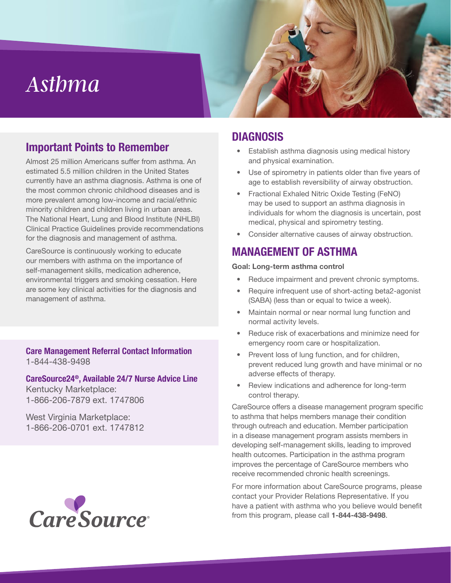# *Asthma*

## Important Points to Remember

Almost 25 million Americans suffer from asthma. An estimated 5.5 million children in the United States currently have an asthma diagnosis. Asthma is one of the most common chronic childhood diseases and is more prevalent among low-income and racial/ethnic minority children and children living in urban areas. The National Heart, Lung and Blood Institute (NHLBI) Clinical Practice Guidelines provide recommendations for the diagnosis and management of asthma.

CareSource is continuously working to educate our members with asthma on the importance of self-management skills, medication adherence, environmental triggers and smoking cessation. Here are some key clinical activities for the diagnosis and management of asthma.

Care Management Referral Contact Information 1-844-438-9498

# CareSource24®, Available 24/7 Nurse Advice Line

Kentucky Marketplace: 1-866-206-7879 ext. 1747806

West Virginia Marketplace: 1-866-206-0701 ext. 1747812



## DIAGNOSIS

- Establish asthma diagnosis using medical history and physical examination.
- Use of spirometry in patients older than five years of age to establish reversibility of airway obstruction.
- Fractional Exhaled Nitric Oxide Testing (FeNO) may be used to support an asthma diagnosis in individuals for whom the diagnosis is uncertain, post medical, physical and spirometry testing.
- Consider alternative causes of airway obstruction.

# MANAGEMENT OF ASTHMA

#### Goal: Long-term asthma control

- Reduce impairment and prevent chronic symptoms.
- Require infrequent use of short-acting beta2-agonist (SABA) (less than or equal to twice a week).
- Maintain normal or near normal lung function and normal activity levels.
- Reduce risk of exacerbations and minimize need for emergency room care or hospitalization.
- Prevent loss of lung function, and for children, prevent reduced lung growth and have minimal or no adverse effects of therapy.
- Review indications and adherence for long-term control therapy.

CareSource offers a disease management program specific to asthma that helps members manage their condition through outreach and education. Member participation in a disease management program assists members in developing self-management skills, leading to improved health outcomes. Participation in the asthma program improves the percentage of CareSource members who receive recommended chronic health screenings.

For more information about CareSource programs, please contact your Provider Relations Representative. If you have a patient with asthma who you believe would benefit from this program, please call 1-844-438-9498.